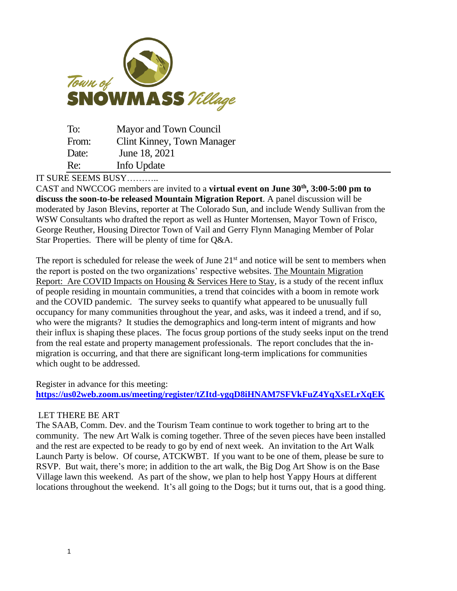

| To:   | Mayor and Town Council     |
|-------|----------------------------|
| From: | Clint Kinney, Town Manager |
| Date: | June 18, 2021              |
| Re:   | Info Update                |

IT SURE SEEMS BUSY………..

CAST and NWCCOG members are invited to a **virtual event on June 30th, 3:00-5:00 pm to discuss the soon-to-be released Mountain Migration Report**. A panel discussion will be moderated by Jason Blevins, reporter at The Colorado Sun, and include Wendy Sullivan from the WSW Consultants who drafted the report as well as Hunter Mortensen, Mayor Town of Frisco, George Reuther, Housing Director Town of Vail and Gerry Flynn Managing Member of Polar Star Properties. There will be plenty of time for Q&A.

The report is scheduled for release the week of June  $21<sup>st</sup>$  and notice will be sent to members when the report is posted on the two organizations' respective websites. The Mountain Migration Report: Are COVID Impacts on Housing & Services Here to Stay, is a study of the recent influx of people residing in mountain communities, a trend that coincides with a boom in remote work and the COVID pandemic. The survey seeks to quantify what appeared to be unusually full occupancy for many communities throughout the year, and asks, was it indeed a trend, and if so, who were the migrants? It studies the demographics and long-term intent of migrants and how their influx is shaping these places. The focus group portions of the study seeks input on the trend from the real estate and property management professionals. The report concludes that the inmigration is occurring, and that there are significant long-term implications for communities which ought to be addressed.

Register in advance for this meeting: **[https://us02web.zoom.us/meeting/register/tZItd-ygqD8iHNAM7SFVkFuZ4YqXsELrXqEK](https://us-east-2.protection.sophos.com/?d=zoom.us&u=aHR0cHM6Ly91czAyd2ViLnpvb20udXMvbWVldGluZy9yZWdpc3Rlci90Wkl0ZC15Z3FEOGlITkFNN1NGVmtGdVo0WXFYc0VMclhxRUs=&i=NjA0ZTJjODUwMzc2ODUwZjQ0NGMwZWNk&t=Q0ZkOHpOSld1YWFiZVMrUklSay9IUkRENVdWRWdRMGRuT1psblFqVVdmdz0=&h=acf1677d84ba44b896720d1ef42ef151)**

## LET THERE BE ART

The SAAB, Comm. Dev. and the Tourism Team continue to work together to bring art to the community. The new Art Walk is coming together. Three of the seven pieces have been installed and the rest are expected to be ready to go by end of next week. An invitation to the Art Walk Launch Party is below. Of course, ATCKWBT. If you want to be one of them, please be sure to RSVP. But wait, there's more; in addition to the art walk, the Big Dog Art Show is on the Base Village lawn this weekend. As part of the show, we plan to help host Yappy Hours at different locations throughout the weekend. It's all going to the Dogs; but it turns out, that is a good thing.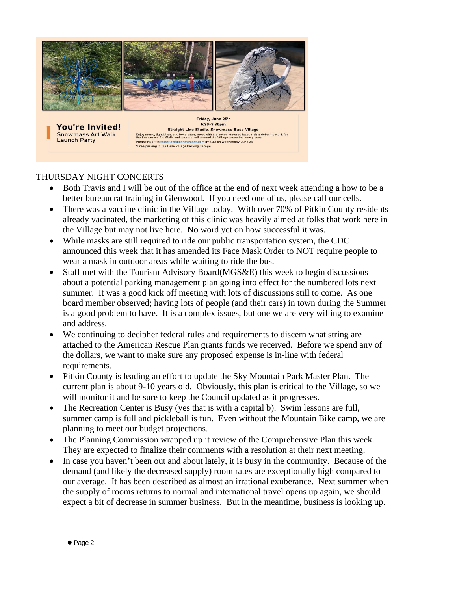

5:30-7:30pm **You're Invited! Straight Line Studio, Snowmass Base Village Snowmass Art Walk** Enjoy music, light bites, and beverages, meet with the seven featured local artists debuting work for<br>the Snowmass Art Walk, and take a stroll around the Village to see the new pieces **Launch Party** The State of Sixth State and State of the State of Sixth State of Sixth State Please RSVP to sstockey@gosnowmass.com by EOD on Wednesday, June 23<br>\*Free parking in the Base Village Parking Garage

## THURSDAY NIGHT CONCERTS

- Both Travis and I will be out of the office at the end of next week attending a how to be a better bureaucrat training in Glenwood. If you need one of us, please call our cells.
- There was a vaccine clinic in the Village today. With over 70% of Pitkin County residents already vacinated, the marketing of this clinic was heavily aimed at folks that work here in the Village but may not live here. No word yet on how successful it was.
- While masks are still required to ride our public transportation system, the CDC announced this week that it has amended its Face Mask Order to NOT require people to wear a mask in outdoor areas while waiting to ride the bus.
- Staff met with the Tourism Advisory Board(MGS&E) this week to begin discussions about a potential parking management plan going into effect for the numbered lots next summer. It was a good kick off meeting with lots of discussions still to come. As one board member observed; having lots of people (and their cars) in town during the Summer is a good problem to have. It is a complex issues, but one we are very willing to examine and address.
- We continuing to decipher federal rules and requirements to discern what string are attached to the American Rescue Plan grants funds we received. Before we spend any of the dollars, we want to make sure any proposed expense is in-line with federal requirements.
- Pitkin County is leading an effort to update the Sky Mountain Park Master Plan. The current plan is about 9-10 years old. Obviously, this plan is critical to the Village, so we will monitor it and be sure to keep the Council updated as it progresses.
- The Recreation Center is Busy (yes that is with a capital b). Swim lessons are full, summer camp is full and pickleball is fun. Even without the Mountain Bike camp, we are planning to meet our budget projections.
- The Planning Commission wrapped up it review of the Comprehensive Plan this week. They are expected to finalize their comments with a resolution at their next meeting.
- In case you haven't been out and about lately, it is busy in the community. Because of the demand (and likely the decreased supply) room rates are exceptionally high compared to our average. It has been described as almost an irrational exuberance. Next summer when the supply of rooms returns to normal and international travel opens up again, we should expect a bit of decrease in summer business. But in the meantime, business is looking up.